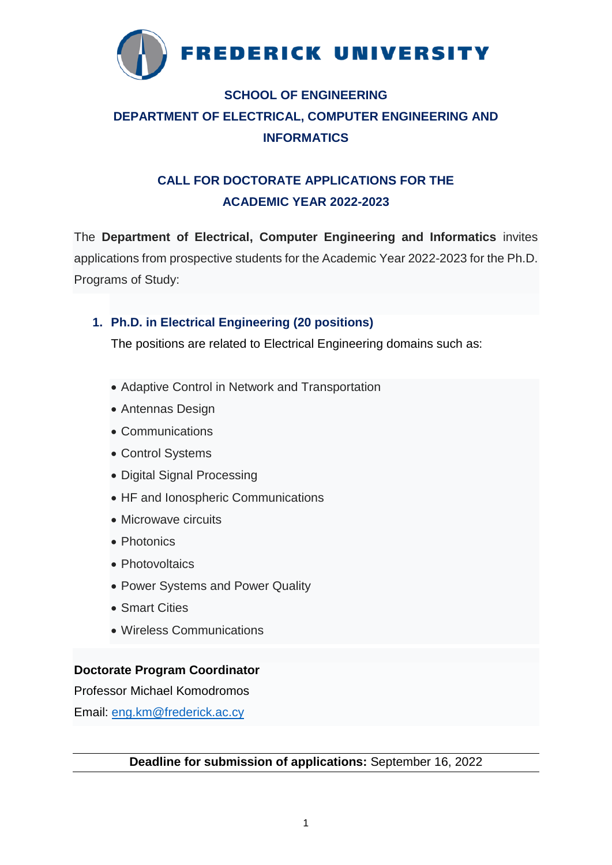

# **SCHOOL OF ENGINEERING DEPARTMENT OF ELECTRICAL, COMPUTER ENGINEERING AND INFORMATICS**

# **CALL FOR DOCTORATE APPLICATIONS FOR THE ACADEMIC YEAR 2022-2023**

The **Department of Electrical, Computer Engineering and Informatics** invites applications from prospective students for the Academic Year 2022-2023 for the Ph.D. Programs of Study:

## **1. Ph.D. in Electrical Engineering (20 positions)**

The positions are related to Electrical Engineering domains such as:

- Adaptive Control in Network and Transportation
- Antennas Design
- Communications
- Control Systems
- Digital Signal Processing
- HF and Ionospheric Communications
- Microwave circuits
- Photonics
- Photovoltaics
- Power Systems and Power Quality
- Smart Cities
- Wireless Communications

## **Doctorate Program Coordinator**

Professor Michael Komodromos

Email: [eng.km@frederick.ac.cy](mailto:eng.km@frederick.ac.cy)

**Deadline for submission of applications:** September 16, 2022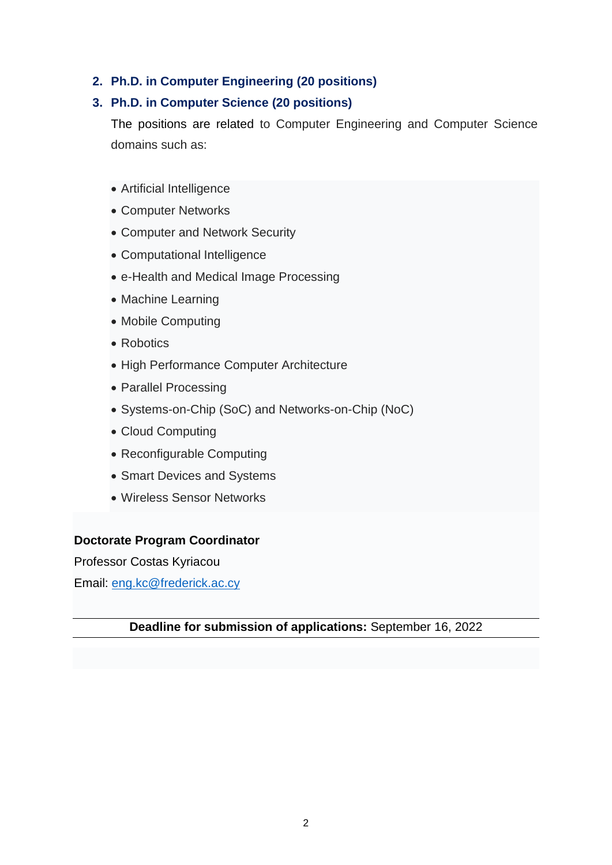#### **2. Ph.D. in Computer Engineering (20 positions)**

#### **3. Ph.D. in Computer Science (20 positions)**

The positions are related to Computer Engineering and Computer Science domains such as:

- Artificial Intelligence
- Computer Networks
- Computer and Network Security
- Computational Intelligence
- e-Health and Medical Image Processing
- Machine Learning
- Mobile Computing
- Robotics
- High Performance Computer Architecture
- Parallel Processing
- Systems-on-Chip (SoC) and Networks-on-Chip (NoC)
- Cloud Computing
- Reconfigurable Computing
- Smart Devices and Systems
- Wireless Sensor Networks

#### **Doctorate Program Coordinator**

Professor Costas Kyriacou

Email: [eng.kc@frederick.ac.cy](mailto:eng.kc@frederick.ac.cy)

#### **Deadline for submission of applications:** September 16, 2022